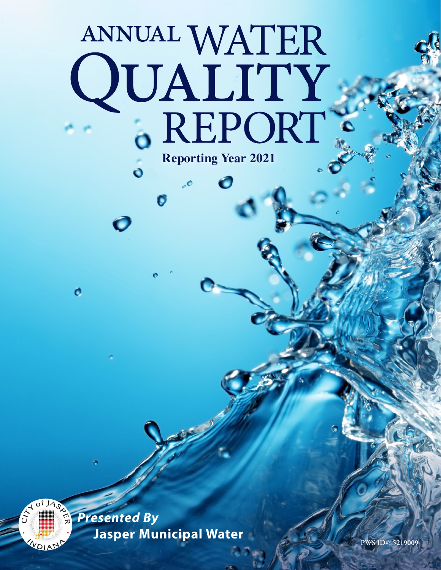# ANNUAL WATER QUALITY .. **Reporting Year 2021**

 $\bullet$ 

 $\ddot{\mathbf{o}}$ 

Ó

o

 $JA_0$ 

*Presented By* Jasper Municipal Water **Participal Water**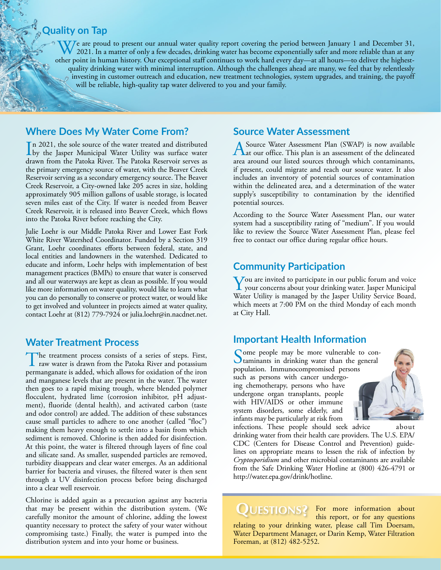### **Quality on Tap**

We are proud to present our annual water quality report covering the period between January 1 and December 31,<br>2021. In a matter of only a few decades, drinking water has become exponentially safer and more reliable than a other point in human history. Our exceptional staff continues to work hard every day—at all hours—to deliver the highestquality drinking water with minimal interruption. Although the challenges ahead are many, we feel that by relentlessly investing in customer outreach and education, new treatment technologies, system upgrades, and training, the payoff will be reliable, high-quality tap water delivered to you and your family.

#### **Where Does My Water Come From?**

In 2021, the sole source of the water treated and distributed<br>by the Jasper Municipal Water Utility was surface water n 2021, the sole source of the water treated and distributed drawn from the Patoka River. The Patoka Reservoir serves as the primary emergency source of water, with the Beaver Creek Reservoir serving as a secondary emergency source. The Beaver Creek Reservoir, a City-owned lake 205 acres in size, holding approximately 905 million gallons of usable storage, is located seven miles east of the City. If water is needed from Beaver Creek Reservoir, it is released into Beaver Creek, which flows into the Patoka River before reaching the City.

Julie Loehr is our Middle Patoka River and Lower East Fork White River Watershed Coordinator. Funded by a Section 319 Grant, Loehr coordinates efforts between federal, state, and local entities and landowners in the watershed. Dedicated to educate and inform, Loehr helps with implementation of best management practices (BMPs) to ensure that water is conserved and all our waterways are kept as clean as possible. If you would like more information on water quality, would like to learn what you can do personally to conserve or protect water, or would like to get involved and volunteer in projects aimed at water quality, contact Loehr at (812) 779-7924 or [julia.loehr@in.nacdnet.net](mailto:julia.loehr@in.nacdnet.net).

#### **Water Treatment Process**

The treatment process consists of a series of steps. First, raw water is drawn from the Patoka River and potassium permanganate is added, which allows for oxidation of the iron and manganese levels that are present in the water. The water then goes to a rapid mixing trough, where blended polymer flocculent, hydrated lime (corrosion inhibitor, pH adjustment), fluoride (dental health), and activated carbon (taste and odor control) are added. The addition of these substances cause small particles to adhere to one another (called "floc") making them heavy enough to settle into a basin from which sediment is removed. Chlorine is then added for disinfection. At this point, the water is filtered through layers of fine coal and silicate sand. As smaller, suspended particles are removed, turbidity disappears and clear water emerges. As an additional barrier for bacteria and viruses, the filtered water is then sent through a UV disinfection process before being discharged into a clear well reservoir.

Chlorine is added again as a precaution against any bacteria that may be present within the distribution system. (We carefully monitor the amount of chlorine, adding the lowest quantity necessary to protect the safety of your water without compromising taste.) Finally, the water is pumped into the distribution system and into your home or business.

#### **Source Water Assessment**

A Source Water Assessment Plan (SWAP) is now available<br>
at our office. This plan is an assessment of the delineated<br>
at our office. This plan is an assessment of the delineated area around our listed sources through which contaminants, if present, could migrate and reach our source water. It also includes an inventory of potential sources of contamination within the delineated area, and a determination of the water supply's susceptibility to contamination by the identified potential sources.

According to the Source Water Assessment Plan, our water system had a susceptibility rating of "medium". If you would like to review the Source Water Assessment Plan, please feel free to contact our office during regular office hours.

#### **Community Participation**

**Y**ou are invited to participate in our public forum and voice your concerns about your drinking water. Jasper Municipal Water Utility is managed by the Jasper Utility Service Board, which meets at 7:00 PM on the third Monday of each month at City Hall.

#### **Important Health Information**

Some people may be more vulnerable to con-<br>taminants in drinking water than the general population. Immunocompromised persons such as persons with cancer undergoing chemotherapy, persons who have undergone organ transplants, people with HIV/AIDS or other immune system disorders, some elderly, and infants may be particularly at risk from



infections. These people should seek advice about drinking water from their health care providers. The U.S. EPA/ CDC (Centers for Disease Control and Prevention) guidelines on appropriate means to lessen the risk of infection by *Cryptosporidium* and other microbial contaminants are available from the Safe Drinking Water Hotline at (800) 426-4791 or <http://water.epa.gov/drink/hotline>.

**QUESTIONS?** For more information about this report, or for any questions this report, or for any questions relating to your drinking water, please call Tim Doersam, Water Department Manager, or Darin Kemp, Water Filtration Foreman, at (812) 482-5252.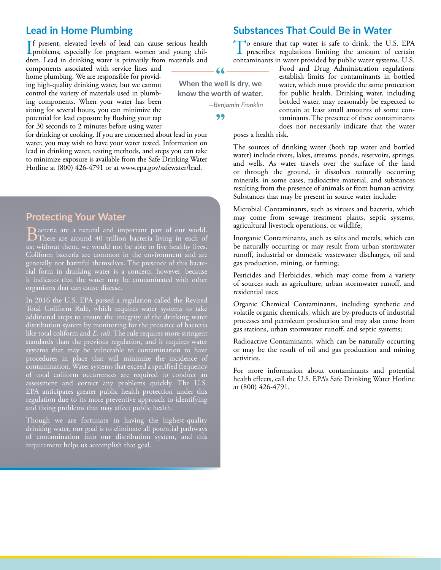#### **Lead in Home Plumbing**

#### If present, elevated levels of lead can cause serious health<br>problems, especially for pregnant women and young chil-<br>days Lead in drinking wave is grimarily from materials and problems, especially for pregnant women and young children. Lead in drinking water is primarily from materials and

components associated with service lines and home plumbing. We are responsible for providing high-quality drinking water, but we cannot control the variety of materials used in plumbing components. When your water has been sitting for several hours, you can minimize the potential for lead exposure by flushing your tap for 30 seconds to 2 minutes before using water

for drinking or cooking. If you are concerned about lead in your water, you may wish to have your water tested. Information on lead in drinking water, testing methods, and steps you can take to minimize exposure is available from the Safe Drinking Water Hotline at (800) 426-4791 or at [www.epa.gov/safewater/lead](http://www.epa.gov/safewater/lead).

**Protecting Your Water**

Bacteria are a natural and important part of our world. There are around 40 trillion bacteria living in each of us; without them, we would not be able to live healthy lives. Coliform bacteria are common in the environment and are generally not harmful themselves. The presence of this bacterial form in drinking water is a concern, however, because it indicates that the water may be contaminated with other organisms that can cause disease.

In 2016 the U.S. EPA passed a regulation called the Revised Total Coliform Rule, which requires water systems to take additional steps to ensure the integrity of the drinking water distribution system by monitoring for the presence of bacteria like total coliform and *E. coli*. The rule requires more stringent standards than the previous regulation, and it requires water systems that may be vulnerable to contamination to have procedures in place that will minimize the incidence of contamination. Water systems that exceed a specified frequency of total coliform occurrences are required to conduct an assessment and correct any problems quickly. The U.S. EPA anticipates greater public health protection under this regulation due to its more preventive approach to identifying and fixing problems that may affect public health.

Though we are fortunate in having the highest-quality drinking water, our goal is to eliminate all potential pathways of contamination into our distribution system, and this requirement helps us accomplish that goal.

### **Substances That Could Be in Water**

To ensure that tap water is safe to drink, the U.S. EPA prescribes regulations limiting the amount of certain contaminants in water provided by public water systems. U.S.

> Food and Drug Administration regulations establish limits for contaminants in bottled water, which must provide the same protection for public health. Drinking water, including bottled water, may reasonably be expected to contain at least small amounts of some contaminants. The presence of these contaminants does not necessarily indicate that the water

poses a health risk.

The sources of drinking water (both tap water and bottled water) include rivers, lakes, streams, ponds, reservoirs, springs, and wells. As water travels over the surface of the land or through the ground, it dissolves naturally occurring minerals, in some cases, radioactive material, and substances resulting from the presence of animals or from human activity. Substances that may be present in source water include:

Microbial Contaminants, such as viruses and bacteria, which may come from sewage treatment plants, septic systems, agricultural livestock operations, or wildlife;

Inorganic Contaminants, such as salts and metals, which can be naturally occurring or may result from urban stormwater runoff, industrial or domestic wastewater discharges, oil and gas production, mining, or farming;

Pesticides and Herbicides, which may come from a variety of sources such as agriculture, urban stormwater runoff, and residential uses;

Organic Chemical Contaminants, including synthetic and volatile organic chemicals, which are by-products of industrial processes and petroleum production and may also come from gas stations, urban stormwater runoff, and septic systems;

Radioactive Contaminants, which can be naturally occurring or may be the result of oil and gas production and mining activities.

For more information about contaminants and potential health effects, call the U.S. EPA's Safe Drinking Water Hotline at (800) 426-4791.



**When the well is dry, we know the worth of water.** *—Benjamin Franklin*  $99-$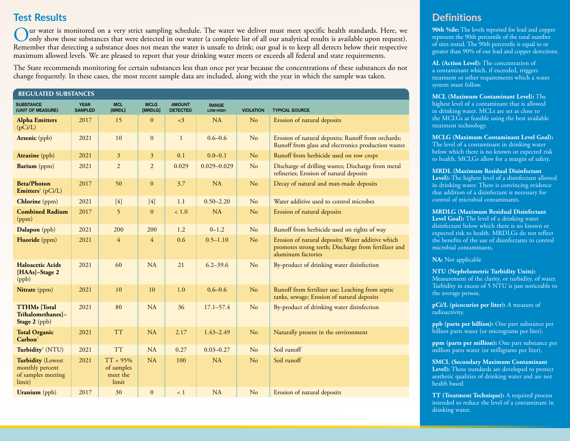### **Test Results**

ur water is monitored on a very strict sampling schedule. The water we deliver must meet specific health standards. Here, we only show those substances that were detected in our water (a complete list of all our analytical results is available upon request). Remember that detecting a substance does not mean the water is unsafe to drink; our goal is to keep all detects below their respective maximum allowed levels. We are pleased to report that your drinking water meets or exceeds all federal and state requirements.

The State recommends monitoring for certain substances less than once per year because the concentrations of these substances do not change frequently. In these cases, the most recent sample data are included, along with the year in which the sample was taken.

| <b>REGULATED SUBSTANCES</b>                                                 |                               |                                               |                        |                                  |                          |                  |                                                                                                                                 |  |  |  |
|-----------------------------------------------------------------------------|-------------------------------|-----------------------------------------------|------------------------|----------------------------------|--------------------------|------------------|---------------------------------------------------------------------------------------------------------------------------------|--|--|--|
| <b>SUBSTANCE</b><br>(UNIT OF MEASURE)                                       | <b>YEAR</b><br><b>SAMPLED</b> | <b>MCL</b><br>[MRDL]                          | <b>MCLG</b><br>[MRDLG] | <b>AMOUNT</b><br><b>DETECTED</b> | <b>RANGE</b><br>LOW-HIGH | <b>VIOLATION</b> | <b>TYPICAL SOURCE</b>                                                                                                           |  |  |  |
| <b>Alpha Emitters</b><br>(pCi/L)                                            | 2017                          | 15                                            | $\mathbf{0}$           | <3                               | <b>NA</b>                | N <sub>o</sub>   | Erosion of natural deposits                                                                                                     |  |  |  |
| Arsenic (ppb)                                                               | 2021                          | 10                                            | $\mathbf{0}$           | $\mathbf{1}$                     | $0.6 - 0.6$              | N <sub>o</sub>   | Erosion of natural deposits; Runoff from orchards;<br>Runoff from glass and electronics production wastes                       |  |  |  |
| <b>Atrazine</b> (ppb)                                                       | 2021                          | $\mathfrak{Z}$                                | $\overline{3}$         | 0.1                              | $0.0 - 0.1$              | $\rm No$         | Runoff from herbicide used on row crops                                                                                         |  |  |  |
| Barium (ppm)                                                                | 2021                          | $\overline{2}$                                | $\overline{2}$         | 0.029                            | $0.029 - 0.029$          | N <sub>o</sub>   | Discharge of drilling wastes; Discharge from metal<br>refineries; Erosion of natural deposits                                   |  |  |  |
| <b>Beta/Photon</b><br>Emitters <sup>1</sup> (pCi/L)                         | 2017                          | 50                                            | $\mathbf{0}$           | 3.7                              | <b>NA</b>                | $\rm No$         | Decay of natural and man-made deposits                                                                                          |  |  |  |
| Chlorine (ppm)                                                              | 2021                          | $[4]$                                         | $[4]$                  | 1.1                              | $0.50 - 2.20$            | N <sub>o</sub>   | Water additive used to control microbes                                                                                         |  |  |  |
| <b>Combined Radium</b><br>(ppm)                                             | 2017                          | 5                                             | $\mathbf{0}$           | ~1.0                             | <b>NA</b>                | N <sub>o</sub>   | Erosion of natural deposits                                                                                                     |  |  |  |
| Dalapon (ppb)                                                               | 2021                          | 200                                           | 200                    | 1.2                              | $0 - 1.2$                | N <sub>o</sub>   | Runoff from herbicide used on rights of way                                                                                     |  |  |  |
| Fluoride (ppm)                                                              | 2021                          | $\overline{4}$                                | $\overline{4}$         | 0.6                              | $0.5 - 1.10$             | $\rm No$         | Erosion of natural deposits; Water additive which<br>promotes strong teeth; Discharge from fertilizer and<br>aluminum factories |  |  |  |
| <b>Haloacetic Acids</b><br>[HAAs]-Stage 2<br>(ppb)                          | 2021                          | 60                                            | <b>NA</b>              | 21                               | $6.2 - 39.6$             | N <sub>o</sub>   | By-product of drinking water disinfection                                                                                       |  |  |  |
| Nitrate (ppm)                                                               | 2021                          | 10                                            | 10                     | 1.0                              | $0.6 - 0.6$              | N <sub>o</sub>   | Runoff from fertilizer use; Leaching from septic<br>tanks, sewage; Erosion of natural deposits                                  |  |  |  |
| <b>TTHMs</b> [Total<br>Trihalomethanes]-<br>Stage 2 (ppb)                   | 2021                          | 80                                            | <b>NA</b>              | 36                               | $17.1 - 57.4$            | N <sub>o</sub>   | By-product of drinking water disinfection                                                                                       |  |  |  |
| <b>Total Organic</b><br>$\mathbf{Carbon}^2$                                 | 2021                          | <b>TT</b>                                     | <b>NA</b>              | 2.17                             | $1.43 - 2.49$            | N <sub>o</sub>   | Naturally present in the environment                                                                                            |  |  |  |
| Turbidity <sup>3</sup> (NTU)                                                | 2021                          | <b>TT</b>                                     | <b>NA</b>              | 0.27                             | $0.03 - 0.27$            | No               | Soil runoff                                                                                                                     |  |  |  |
| <b>Turbidity (Lowest</b><br>monthly percent<br>of samples meeting<br>limit) | 2021                          | $TT = 95%$<br>of samples<br>meet the<br>limit | <b>NA</b>              | 100                              | $\rm NA$                 | N <sub>o</sub>   | Soil runoff                                                                                                                     |  |  |  |
| <b>Uranium</b> (ppb)                                                        | 2017                          | 30                                            | $\mathbf{0}$           | < 1                              | NA                       | N <sub>o</sub>   | Erosion of natural deposits                                                                                                     |  |  |  |

## **Definitions**

**90th %ile:** The levels reported for lead and copper represent the 90th percentile of the total number of sites tested. The 90th percentile is equal to or greater than 90% of our lead and copper detections.

**AL (Action Level):** The concentration of a contaminant which, if exceeded, triggers treatment or other requirements which a water system must follow.

**MCL (Maximum Contaminant Level):** The highest level of a contaminant that is allowed in drinking water. MCLs are set as close to the MCLGs as feasible using the best available treatment technology.

**MCLG (Maximum Contaminant Level Goal):** The level of a contaminant in drinking water below which there is no known or expected risk to health. MCLGs allow for a margin of safety.

**MRDL (Maximum Residual Disinfectant Level):** The highest level of a disinfectant allowed in drinking water. There is convincing evidence that addition of a disinfectant is necessary for control of microbial contaminants.

**MRDLG (Maximum Residual Disinfectant Level Goal):** The level of a drinking water disinfectant below which there is no known or expected risk to health. MRDLGs do not reflect the benefits of the use of disinfectants to control microbial contaminants.

**NA:** Not applicable

**NTU (Nephelometric Turbidity Units):** Measurement of the clarity, or turbidity, of water. Turbidity in excess of 5 NTU is just noticeable to the average person.

**pCi/L (picocuries per liter):** A measure of radioactivity.

**ppb (parts per billion):** One part substance per billion parts water (or micrograms per liter).

**ppm (parts per million):** One part substance per million parts water (or milligrams per liter).

**SMCL (Secondary Maximum Contaminant Level):** These standards are developed to protect aesthetic qualities of drinking water and are not health based.

**TT (Treatment Technique):** A required process intended to reduce the level of a contaminant in drinking water.